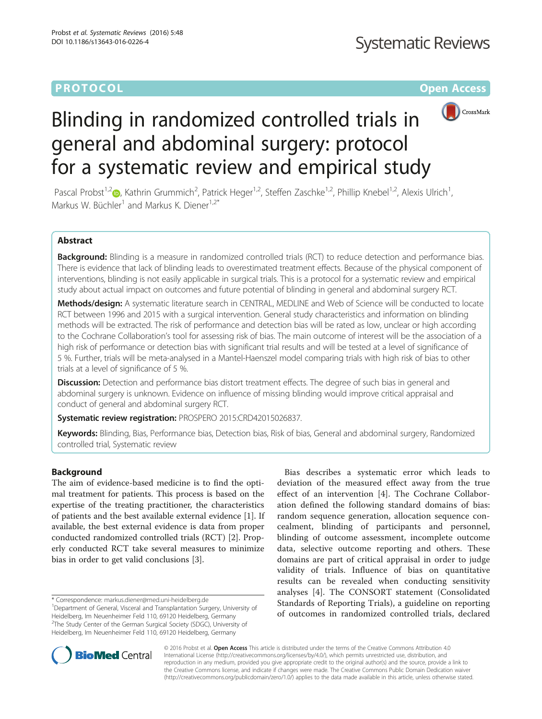# **PROTOCOL CONSUMING THE OPEN ACCESS**



# Blinding in randomized controlled trials in general and abdominal surgery: protocol for a systematic review and empirical study

Pascal Probst<sup>1,[2](http://orcid.org/0000-0002-0895-4015)</sup> (b, Kathrin Grummich<sup>2</sup>, Patrick Heger<sup>1,2</sup>, Steffen Zaschke<sup>1,2</sup>, Phillip Knebel<sup>1,2</sup>, Alexis Ulrich<sup>1</sup> , Markus W. Büchler<sup>1</sup> and Markus K. Diener<sup>1,2\*</sup>

## Abstract

Background: Blinding is a measure in randomized controlled trials (RCT) to reduce detection and performance bias. There is evidence that lack of blinding leads to overestimated treatment effects. Because of the physical component of interventions, blinding is not easily applicable in surgical trials. This is a protocol for a systematic review and empirical study about actual impact on outcomes and future potential of blinding in general and abdominal surgery RCT.

Methods/design: A systematic literature search in CENTRAL, MEDLINE and Web of Science will be conducted to locate RCT between 1996 and 2015 with a surgical intervention. General study characteristics and information on blinding methods will be extracted. The risk of performance and detection bias will be rated as low, unclear or high according to the Cochrane Collaboration's tool for assessing risk of bias. The main outcome of interest will be the association of a high risk of performance or detection bias with significant trial results and will be tested at a level of significance of 5 %. Further, trials will be meta-analysed in a Mantel-Haenszel model comparing trials with high risk of bias to other trials at a level of significance of 5 %.

Discussion: Detection and performance bias distort treatment effects. The degree of such bias in general and abdominal surgery is unknown. Evidence on influence of missing blinding would improve critical appraisal and conduct of general and abdominal surgery RCT.

Systematic review registration: PROSPERO 2015:[CRD42015026837](http://www.crd.york.ac.uk/PROSPERO/display_record.asp?ID=CRD42015026837).

Keywords: Blinding, Bias, Performance bias, Detection bias, Risk of bias, General and abdominal surgery, Randomized controlled trial, Systematic review

### Background

The aim of evidence-based medicine is to find the optimal treatment for patients. This process is based on the expertise of the treating practitioner, the characteristics of patients and the best available external evidence [\[1](#page-5-0)]. If available, the best external evidence is data from proper conducted randomized controlled trials (RCT) [\[2\]](#page-5-0). Properly conducted RCT take several measures to minimize bias in order to get valid conclusions [\[3\]](#page-5-0).

\* Correspondence: [markus.diener@med.uni-heidelberg.de](mailto:markus.diener@med.uni-heidelberg.de) <sup>1</sup>

<sup>1</sup>Department of General, Visceral and Transplantation Surgery, University of Heidelberg, Im Neuenheimer Feld 110, 69120 Heidelberg, Germany <sup>2</sup>The Study Center of the German Surgical Society (SDGC), University of Heidelberg, Im Neuenheimer Feld 110, 69120 Heidelberg, Germany

Bias describes a systematic error which leads to deviation of the measured effect away from the true effect of an intervention [\[4](#page-5-0)]. The Cochrane Collaboration defined the following standard domains of bias: random sequence generation, allocation sequence concealment, blinding of participants and personnel, blinding of outcome assessment, incomplete outcome data, selective outcome reporting and others. These domains are part of critical appraisal in order to judge validity of trials. Influence of bias on quantitative results can be revealed when conducting sensitivity analyses [[4\]](#page-5-0). The CONSORT statement (Consolidated Standards of Reporting Trials), a guideline on reporting of outcomes in randomized controlled trials, declared



© 2016 Probst et al. Open Access This article is distributed under the terms of the Creative Commons Attribution 4.0 International License [\(http://creativecommons.org/licenses/by/4.0/](http://creativecommons.org/licenses/by/4.0/)), which permits unrestricted use, distribution, and reproduction in any medium, provided you give appropriate credit to the original author(s) and the source, provide a link to the Creative Commons license, and indicate if changes were made. The Creative Commons Public Domain Dedication waiver [\(http://creativecommons.org/publicdomain/zero/1.0/](http://creativecommons.org/publicdomain/zero/1.0/)) applies to the data made available in this article, unless otherwise stated.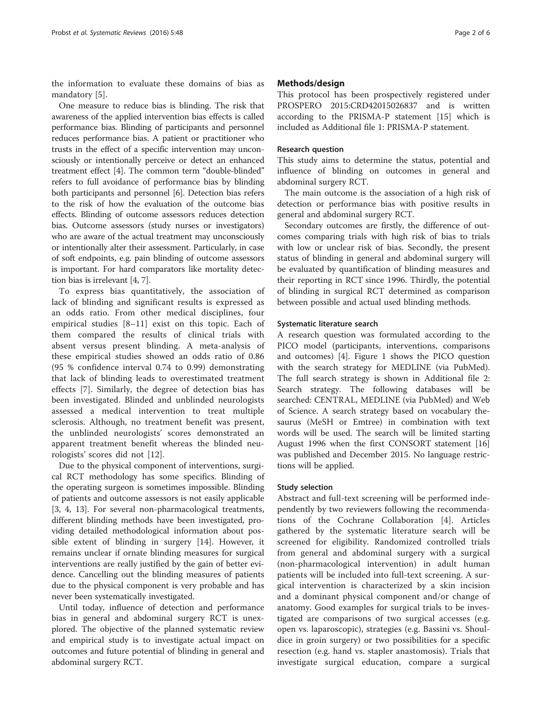the information to evaluate these domains of bias as mandatory [[5\]](#page-5-0).

One measure to reduce bias is blinding. The risk that awareness of the applied intervention bias effects is called performance bias. Blinding of participants and personnel reduces performance bias. A patient or practitioner who trusts in the effect of a specific intervention may unconsciously or intentionally perceive or detect an enhanced treatment effect [[4\]](#page-5-0). The common term "double-blinded" refers to full avoidance of performance bias by blinding both participants and personnel [\[6\]](#page-5-0). Detection bias refers to the risk of how the evaluation of the outcome bias effects. Blinding of outcome assessors reduces detection bias. Outcome assessors (study nurses or investigators) who are aware of the actual treatment may unconsciously or intentionally alter their assessment. Particularly, in case of soft endpoints, e.g. pain blinding of outcome assessors is important. For hard comparators like mortality detection bias is irrelevant [\[4, 7](#page-5-0)].

To express bias quantitatively, the association of lack of blinding and significant results is expressed as an odds ratio. From other medical disciplines, four empirical studies [\[8](#page-5-0)–[11](#page-5-0)] exist on this topic. Each of them compared the results of clinical trials with absent versus present blinding. A meta-analysis of these empirical studies showed an odds ratio of 0.86 (95 % confidence interval 0.74 to 0.99) demonstrating that lack of blinding leads to overestimated treatment effects [\[7](#page-5-0)]. Similarly, the degree of detection bias has been investigated. Blinded and unblinded neurologists assessed a medical intervention to treat multiple sclerosis. Although, no treatment benefit was present, the unblinded neurologists' scores demonstrated an apparent treatment benefit whereas the blinded neurologists' scores did not [\[12](#page-5-0)].

Due to the physical component of interventions, surgical RCT methodology has some specifics. Blinding of the operating surgeon is sometimes impossible. Blinding of patients and outcome assessors is not easily applicable [[3, 4](#page-5-0), [13\]](#page-5-0). For several non-pharmacological treatments, different blinding methods have been investigated, providing detailed methodological information about possible extent of blinding in surgery [[14](#page-5-0)]. However, it remains unclear if ornate blinding measures for surgical interventions are really justified by the gain of better evidence. Cancelling out the blinding measures of patients due to the physical component is very probable and has never been systematically investigated.

Until today, influence of detection and performance bias in general and abdominal surgery RCT is unexplored. The objective of the planned systematic review and empirical study is to investigate actual impact on outcomes and future potential of blinding in general and abdominal surgery RCT.

#### Methods/design

This protocol has been prospectively registered under PROSPERO 2015:CRD42015026837 and is written according to the PRISMA-P statement [\[15\]](#page-5-0) which is included as Additional file [1](#page-5-0): PRISMA-P statement.

#### Research question

This study aims to determine the status, potential and influence of blinding on outcomes in general and abdominal surgery RCT.

The main outcome is the association of a high risk of detection or performance bias with positive results in general and abdominal surgery RCT.

Secondary outcomes are firstly, the difference of outcomes comparing trials with high risk of bias to trials with low or unclear risk of bias. Secondly, the present status of blinding in general and abdominal surgery will be evaluated by quantification of blinding measures and their reporting in RCT since 1996. Thirdly, the potential of blinding in surgical RCT determined as comparison between possible and actual used blinding methods.

#### Systematic literature search

A research question was formulated according to the PICO model (participants, interventions, comparisons and outcomes) [[4\]](#page-5-0). Figure [1](#page-2-0) shows the PICO question with the search strategy for MEDLINE (via PubMed). The full search strategy is shown in Additional file [2](#page-5-0): Search strategy. The following databases will be searched: CENTRAL, MEDLINE (via PubMed) and Web of Science. A search strategy based on vocabulary thesaurus (MeSH or Emtree) in combination with text words will be used. The search will be limited starting August 1996 when the first CONSORT statement [[16](#page-5-0)] was published and December 2015. No language restrictions will be applied.

#### Study selection

Abstract and full-text screening will be performed independently by two reviewers following the recommendations of the Cochrane Collaboration [[4\]](#page-5-0). Articles gathered by the systematic literature search will be screened for eligibility. Randomized controlled trials from general and abdominal surgery with a surgical (non-pharmacological intervention) in adult human patients will be included into full-text screening. A surgical intervention is characterized by a skin incision and a dominant physical component and/or change of anatomy. Good examples for surgical trials to be investigated are comparisons of two surgical accesses (e.g. open vs. laparoscopic), strategies (e.g. Bassini vs. Shouldice in groin surgery) or two possibilities for a specific resection (e.g. hand vs. stapler anastomosis). Trials that investigate surgical education, compare a surgical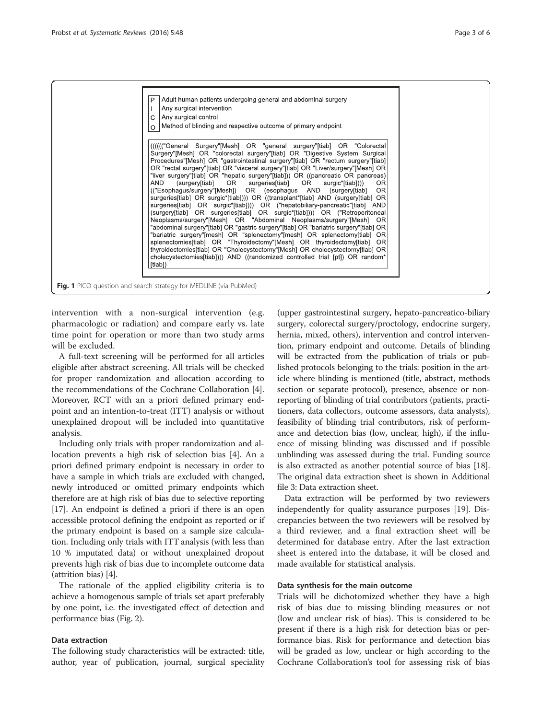<span id="page-2-0"></span>

intervention with a non-surgical intervention (e.g. pharmacologic or radiation) and compare early vs. late time point for operation or more than two study arms will be excluded.

A full-text screening will be performed for all articles eligible after abstract screening. All trials will be checked for proper randomization and allocation according to the recommendations of the Cochrane Collaboration [\[4](#page-5-0)]. Moreover, RCT with an a priori defined primary endpoint and an intention-to-treat (ITT) analysis or without unexplained dropout will be included into quantitative analysis.

Including only trials with proper randomization and allocation prevents a high risk of selection bias [\[4](#page-5-0)]. An a priori defined primary endpoint is necessary in order to have a sample in which trials are excluded with changed, newly introduced or omitted primary endpoints which therefore are at high risk of bias due to selective reporting [[17](#page-5-0)]. An endpoint is defined a priori if there is an open accessible protocol defining the endpoint as reported or if the primary endpoint is based on a sample size calculation. Including only trials with ITT analysis (with less than 10 % imputated data) or without unexplained dropout prevents high risk of bias due to incomplete outcome data (attrition bias) [\[4](#page-5-0)].

The rationale of the applied eligibility criteria is to achieve a homogenous sample of trials set apart preferably by one point, i.e. the investigated effect of detection and performance bias (Fig. [2](#page-3-0)).

#### Data extraction

The following study characteristics will be extracted: title, author, year of publication, journal, surgical speciality

(upper gastrointestinal surgery, hepato-pancreatico-biliary surgery, colorectal surgery/proctology, endocrine surgery, hernia, mixed, others), intervention and control intervention, primary endpoint and outcome. Details of blinding will be extracted from the publication of trials or published protocols belonging to the trials: position in the article where blinding is mentioned (title, abstract, methods section or separate protocol), presence, absence or nonreporting of blinding of trial contributors (patients, practitioners, data collectors, outcome assessors, data analysts), feasibility of blinding trial contributors, risk of performance and detection bias (low, unclear, high), if the influence of missing blinding was discussed and if possible unblinding was assessed during the trial. Funding source is also extracted as another potential source of bias [[18](#page-5-0)]. The original data extraction sheet is shown in Additional file [3](#page-5-0): Data extraction sheet.

Data extraction will be performed by two reviewers independently for quality assurance purposes [\[19\]](#page-5-0). Discrepancies between the two reviewers will be resolved by a third reviewer, and a final extraction sheet will be determined for database entry. After the last extraction sheet is entered into the database, it will be closed and made available for statistical analysis.

#### Data synthesis for the main outcome

Trials will be dichotomized whether they have a high risk of bias due to missing blinding measures or not (low and unclear risk of bias). This is considered to be present if there is a high risk for detection bias or performance bias. Risk for performance and detection bias will be graded as low, unclear or high according to the Cochrane Collaboration's tool for assessing risk of bias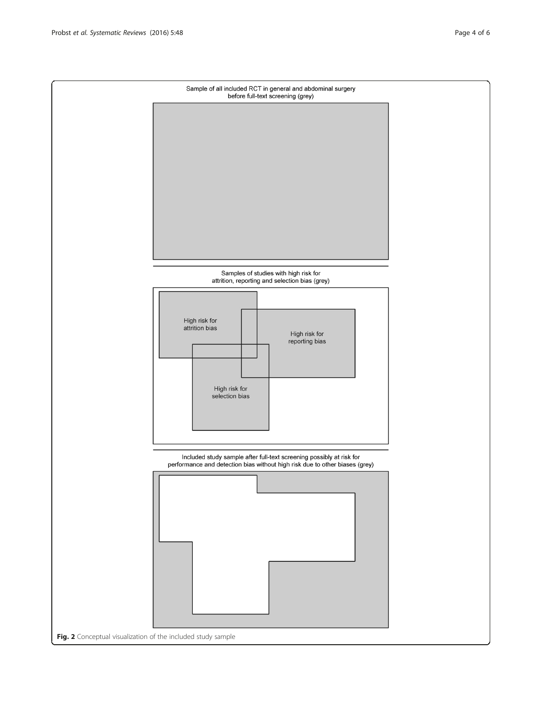<span id="page-3-0"></span>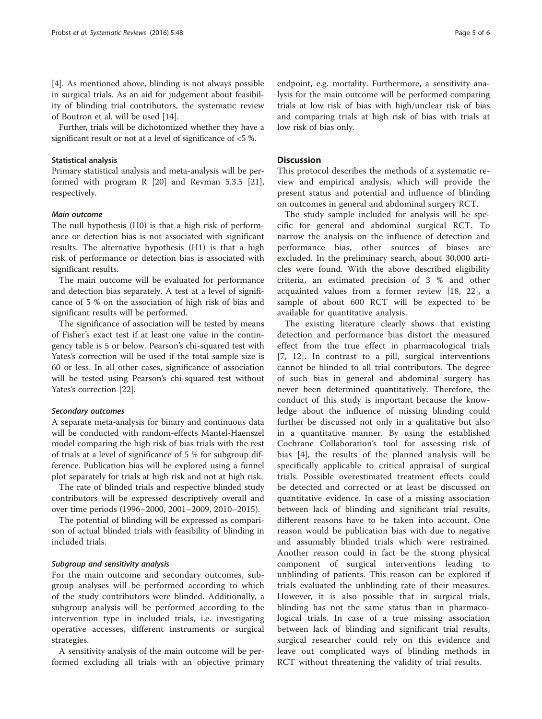[[4\]](#page-5-0). As mentioned above, blinding is not always possible in surgical trials. As an aid for judgement about feasibility of blinding trial contributors, the systematic review of Boutron et al. will be used [\[14](#page-5-0)].

Further, trials will be dichotomized whether they have a significant result or not at a level of significance of <5 %.

#### Statistical analysis

Primary statistical analysis and meta-analysis will be performed with program R [\[20\]](#page-5-0) and Revman 5.3.5 [\[21](#page-5-0)], respectively.

#### Main outcome

The null hypothesis (H0) is that a high risk of performance or detection bias is not associated with significant results. The alternative hypothesis (H1) is that a high risk of performance or detection bias is associated with significant results.

The main outcome will be evaluated for performance and detection bias separately. A test at a level of significance of 5 % on the association of high risk of bias and significant results will be performed.

The significance of association will be tested by means of Fisher's exact test if at least one value in the contingency table is 5 or below. Pearson's chi-squared test with Yates's correction will be used if the total sample size is 60 or less. In all other cases, significance of association will be tested using Pearson's chi-squared test without Yates's correction [\[22\]](#page-5-0).

#### Secondary outcomes

A separate meta-analysis for binary and continuous data will be conducted with random-effects Mantel-Haenszel model comparing the high risk of bias trials with the rest of trials at a level of significance of 5 % for subgroup difference. Publication bias will be explored using a funnel plot separately for trials at high risk and not at high risk.

The rate of blinded trials and respective blinded study contributors will be expressed descriptively overall and over time periods (1996–2000, 2001–2009, 2010–2015).

The potential of blinding will be expressed as comparison of actual blinded trials with feasibility of blinding in included trials.

#### Subgroup and sensitivity analysis

For the main outcome and secondary outcomes, subgroup analyses will be performed according to which of the study contributors were blinded. Additionally, a subgroup analysis will be performed according to the intervention type in included trials, i.e. investigating operative accesses, different instruments or surgical strategies.

A sensitivity analysis of the main outcome will be performed excluding all trials with an objective primary

endpoint, e.g. mortality. Furthermore, a sensitivity analysis for the main outcome will be performed comparing trials at low risk of bias with high/unclear risk of bias and comparing trials at high risk of bias with trials at low risk of bias only.

#### **Discussion**

This protocol describes the methods of a systematic review and empirical analysis, which will provide the present status and potential and influence of blinding on outcomes in general and abdominal surgery RCT.

The study sample included for analysis will be specific for general and abdominal surgical RCT. To narrow the analysis on the influence of detection and performance bias, other sources of biases are excluded. In the preliminary search, about 30,000 articles were found. With the above described eligibility criteria, an estimated precision of 3 % and other acquainted values from a former review [[18, 22\]](#page-5-0), a sample of about 600 RCT will be expected to be available for quantitative analysis.

The existing literature clearly shows that existing detection and performance bias distort the measured effect from the true effect in pharmacological trials [[7, 12](#page-5-0)]. In contrast to a pill, surgical interventions cannot be blinded to all trial contributors. The degree of such bias in general and abdominal surgery has never been determined quantitatively. Therefore, the conduct of this study is important because the knowledge about the influence of missing blinding could further be discussed not only in a qualitative but also in a quantitative manner. By using the established Cochrane Collaboration's tool for assessing risk of bias [[4](#page-5-0)], the results of the planned analysis will be specifically applicable to critical appraisal of surgical trials. Possible overestimated treatment effects could be detected and corrected or at least be discussed on quantitative evidence. In case of a missing association between lack of blinding and significant trial results, different reasons have to be taken into account. One reason would be publication bias with due to negative and assumably blinded trials which were restrained. Another reason could in fact be the strong physical component of surgical interventions leading to unblinding of patients. This reason can be explored if trials evaluated the unblinding rate of their measures. However, it is also possible that in surgical trials, blinding has not the same status than in pharmacological trials. In case of a true missing association between lack of blinding and significant trial results, surgical researcher could rely on this evidence and leave out complicated ways of blinding methods in RCT without threatening the validity of trial results.